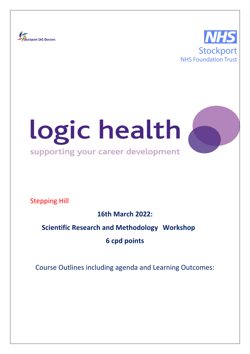





Stepping Hill

**16th March 2022:**

# **Scientific Research and Methodology Workshop**

**6 cpd points**

Course Outlines including agenda and Learning Outcomes: